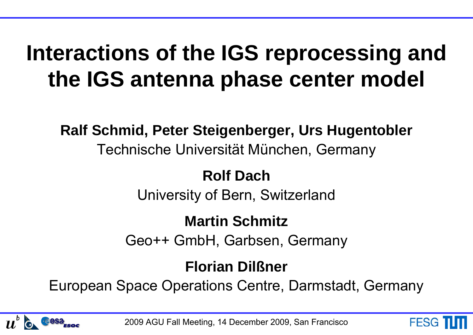# **Interactions of the IGS reprocessing and the IGS antenna phase center model**

**Ralf Schmid, Peter Steigenberger, Urs Hugentobler** Technische Universität München, Germany

#### **Rolf Dach**

University of Bern, Switzerland

#### **Martin Schmitz**

Geo++ GmbH, Garbsen, Germany

#### **Florian Dilßner**

European Space Operations Centre, Darmstadt, Germany



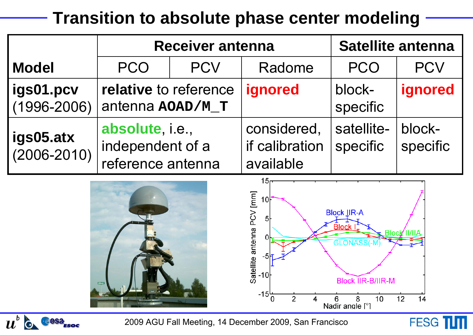## **Transition to absolute phase center modeling**

|                              |                                                          | <b>Receiver antenna</b> | <b>Satellite antenna</b>                   |                        |                    |
|------------------------------|----------------------------------------------------------|-------------------------|--------------------------------------------|------------------------|--------------------|
| <b>Model</b>                 | <b>PCO</b>                                               | <b>PCV</b>              | Radome                                     | <b>PCO</b>             | <b>PCV</b>         |
| igs01.pcv<br>$(1996 - 2006)$ | relative to reference<br>antenna AOAD/M_T                |                         | ignored                                    | block-<br>specific     | ignored            |
| igs05.atx<br>$(2006 - 2010)$ | absolute, i.e.,<br>independent of a<br>reference antenna |                         | considered,<br>if calibration<br>available | satellite-<br>specific | block-<br>specific |



**FESG TITT** 

 $u^{\scriptscriptstyle b}$   $\circ$   $\circ$   $\circ$   $\circ$   $\circ$   $\circ$   $\circ$ 

2009 AGU Fall Meeting, 14 December 2009, San Francisco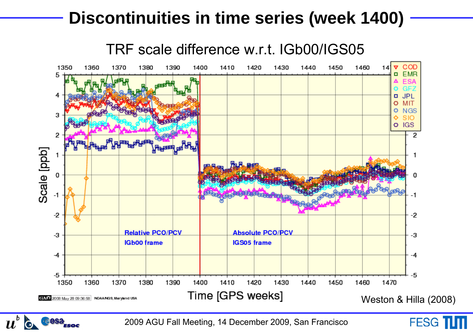#### **Discontinuities in time series (week 1400)**



2009 AGU Fall Meeting, 14 December 2009, San Francisco

 $\boldsymbol{u}^{\nu}$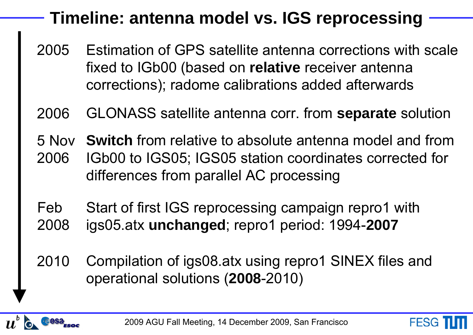## **Timeline: antenna model vs. IGS reprocessing**

- Estimation of GPS satellite antenna corrections with scale fixed to IGb00 (based on **relative** receiver antenna corrections); radome calibrations added afterwards 2005
- 2006GLONASS satellite antenna corr. from **separate** solution
- 5 Nov**Switch** from relative to absolute antenna model and from 2006IGb00 to IGS05; IGS05 station coordinates corrected for differences from parallel AC processing
- Feb2008 Start of first IGS reprocessing campaign repro1 with igs05.atx **unchanged**; repro1 period: 1994-**2007**
- 2010 Compilation of igs08.atx using repro1 SINEX files and operational solutions (**2008**-2010)

**FESG**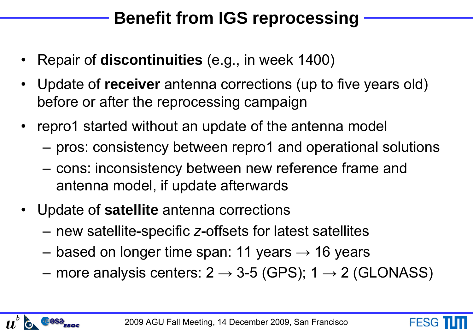## **Benefit from IGS reprocessing**

- •Repair of **discontinuities** (e.g., in week 1400)
- $\bullet$  Update of **receiver** antenna corrections (up to five years old) before or after the reprocessing campaign
- • repro1 started without an update of the antenna model
	- –pros: consistency between repro1 and operational solutions
	- – cons: inconsistency between new reference frame and antenna model, if update afterwards
- • Update of **satellite** antenna corrections
	- **Hart Corporation (State Corporation)** new satellite-specific *z*-offsets for latest satellites
	- –based on longer time span: 11 years  $\rightarrow$  16 years
	- –more analysis centers: 2  $\rightarrow$  3-5 (GPS); 1  $\rightarrow$  2 (GLONASS)

**FESG**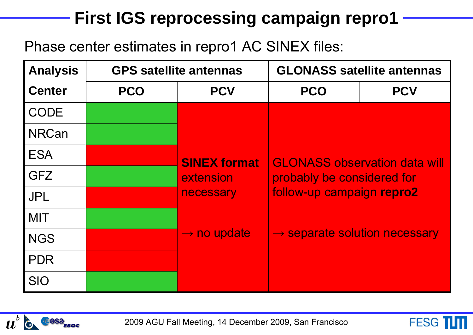## **First IGS reprocessing campaign repro1**

Phase center estimates in repro1 AC SINEX files:

| <b>Analysis</b> |            | <b>GPS satellite antennas</b> | <b>GLONASS satellite antennas</b>                                                                                                            |            |  |
|-----------------|------------|-------------------------------|----------------------------------------------------------------------------------------------------------------------------------------------|------------|--|
| <b>Center</b>   | <b>PCO</b> | <b>PCV</b>                    | <b>PCO</b>                                                                                                                                   | <b>PCV</b> |  |
| <b>CODE</b>     |            |                               |                                                                                                                                              |            |  |
| <b>NRCan</b>    |            | <b>SINEX format</b>           | <b>GLONASS observation data will</b><br>probably be considered for<br>follow-up campaign repro2<br>$\rightarrow$ separate solution necessary |            |  |
| <b>ESA</b>      |            |                               |                                                                                                                                              |            |  |
| <b>GFZ</b>      |            | extension                     |                                                                                                                                              |            |  |
| <b>JPL</b>      |            | necessary                     |                                                                                                                                              |            |  |
| <b>MIT</b>      |            |                               |                                                                                                                                              |            |  |
| <b>NGS</b>      |            | $\rightarrow$ no update       |                                                                                                                                              |            |  |
| <b>PDR</b>      |            |                               |                                                                                                                                              |            |  |
| <b>SIO</b>      |            |                               |                                                                                                                                              |            |  |



2009 AGU Fall Meeting, 14 December 2009, San Francisco

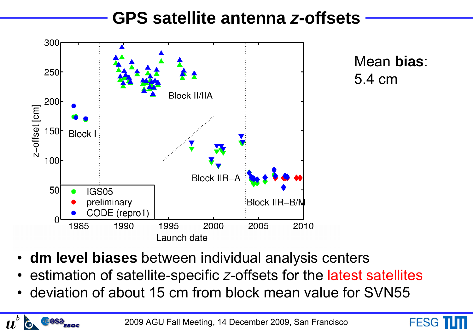#### **GPS satellite antenna** *z***-offsets**



Mean **bias**: 5.4 cm

**FESG** 

•**dm level biases** between individual analysis centers

 $\boldsymbol{u}$ 

esa

- •estimation of satellite-specific *z*-offsets for the latest satellites
- •deviation of about 15 cm from block mean value for SVN55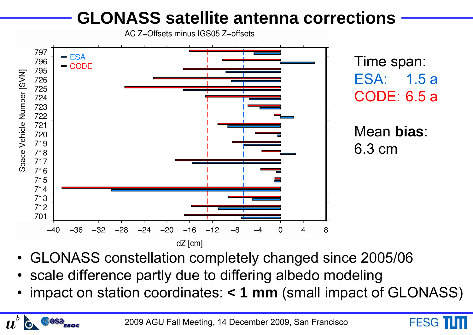## **GLONASS satellite antenna corrections**

AC Z-Offsets minus IGS05 Z-offsets



- GLONASS constellation completely changed since 2005/06
- scale difference partly due to differing albedo modeling

esa

 $\boldsymbol{u}$ 

• impact on station coordinates: **< 1 mm** (small impact of GLONASS)

**FESG**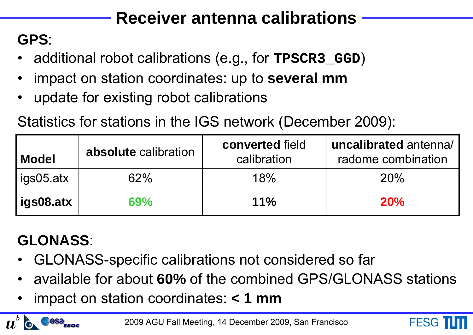## **Receiver antenna calibrations**

#### **GPS**:

- •additional robot calibrations (e.g., for **TPSCR3\_GGD**)
- •impact on station coordinates: up to **several mm**
- •update for existing robot calibrations

Statistics for stations in the IGS network (December 2009):

| <b>Model</b> | absolute calibration | converted field<br>calibration | uncalibrated antenna/<br>radome combination |
|--------------|----------------------|--------------------------------|---------------------------------------------|
| igs05 atx    | 62%                  | 18%                            | 20%                                         |
| igs08.atx    | 69%                  | $11\%$                         | 20%                                         |

## **GLONASS**:

 $\bm{u}$ 

- •GLONASS-specific calibrations not considered so far
- •available for about **60%** of the combined GPS/GLONASS stations
- •impact on station coordinates: **< 1 mm**

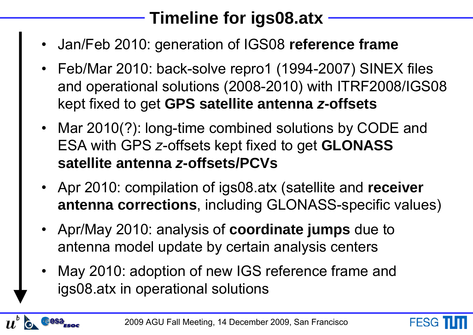## **Timeline for igs08.atx**

- •Jan/Feb 2010: generation of IGS08 **reference frame**
- Feb/Mar 2010: back-solve repro1 (1994-2007) SINEX files and operational solutions (2008-2010) with ITRF2008/IGS08 kept fixed to get **GPS satellite antenna** *z***-offsets**
- Mar 2010(?): long-time combined solutions by CODE and ESA with GPS *z*-offsets kept fixed to get **GLONASS satellite antenna** *z***-offsets/PCVs**
- Apr 2010: compilation of igs08.atx (satellite and **receiver antenna corrections**, including GLONASS-specific values)
- Apr/May 2010: analysis of **coordinate jumps** due to antenna model update by certain analysis centers
- • May 2010: adoption of new IGS reference frame and igs08.atx in operational solutions

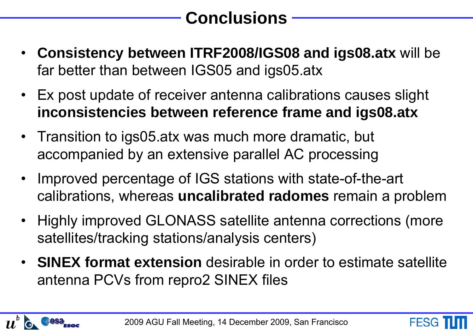# **Conclusions**

- $\bullet$  **Consistency between ITRF2008/IGS08 and igs08.atx** will be far better than between IGS05 and igs05.atx
- Ex post update of receiver antenna calibrations causes slight **inconsistencies between reference frame and igs08.atx**
- Transition to igs05.atx was much more dramatic, but accompanied by an extensive parallel AC processing
- • Improved percentage of IGS stations with state-of-the-art calibrations, whereas **uncalibrated radomes** remain a problem
- • Highly improved GLONASS satellite antenna corrections (more satellites/tracking stations/analysis centers)
- **SINEX format extension** desirable in order to estimate satellite antenna PCVs from repro2 SINEX files